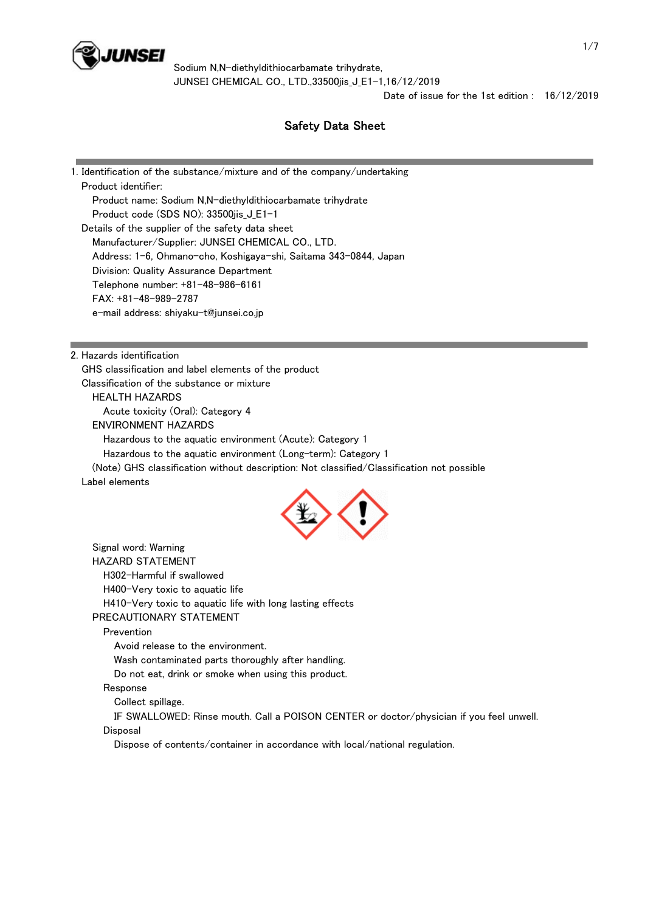

Date of issue for the 1st edition : 16/12/2019

# Safety Data Sheet

1. Identification of the substance/mixture and of the company/undertaking Product identifier: Product name: Sodium N,N-diethyldithiocarbamate trihydrate Product code (SDS NO): 33500jis\_J\_E1-1 Details of the supplier of the safety data sheet Manufacturer/Supplier: JUNSEI CHEMICAL CO., LTD. Address: 1-6, Ohmano-cho, Koshigaya-shi, Saitama 343-0844, Japan Division: Quality Assurance Department Telephone number: +81-48-986-6161 FAX: +81-48-989-2787 e-mail address: shiyaku-t@junsei.co.jp

2. Hazards identification

 GHS classification and label elements of the product Classification of the substance or mixture

HEALTH HAZARDS

Acute toxicity (Oral): Category 4

ENVIRONMENT HAZARDS

Hazardous to the aquatic environment (Acute): Category 1

Hazardous to the aquatic environment (Long-term): Category 1

(Note) GHS classification without description: Not classified/Classification not possible

Label elements



 Signal word: Warning HAZARD STATEMENT H302-Harmful if swallowed H400-Very toxic to aquatic life H410-Very toxic to aquatic life with long lasting effects PRECAUTIONARY STATEMENT Prevention Avoid release to the environment. Wash contaminated parts thoroughly after handling. Do not eat, drink or smoke when using this product. Response Collect spillage. IF SWALLOWED: Rinse mouth. Call a POISON CENTER or doctor/physician if you feel unwell. Disposal Dispose of contents/container in accordance with local/national regulation.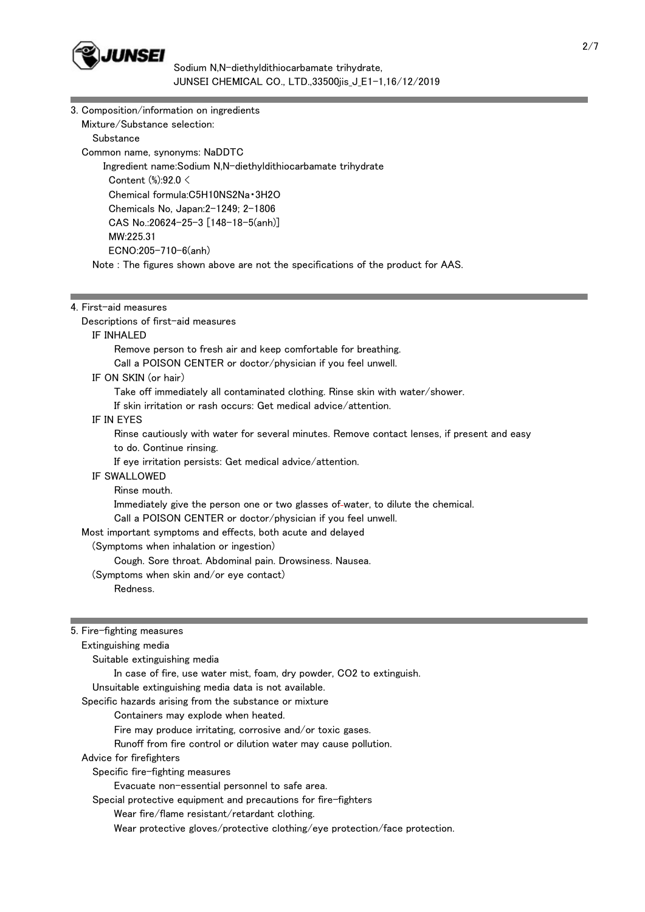

| 3. Composition/information on ingredients                                        |
|----------------------------------------------------------------------------------|
| Mixture/Substance selection:                                                     |
| Substance                                                                        |
| Common name, synonyms: NaDDTC                                                    |
| Ingredient name: Sodium N.N-diethyldithiocarbamate trihydrate                    |
| Content $%2.0 <$                                                                 |
| Chemical formula:C5H10NS2Na 3H2O                                                 |
| Chemicals No. Japan: 2-1249; 2-1806                                              |
| CAS No.:20624-25-3 $[148-18-5(anh)]$                                             |
| MW:225.31                                                                        |
| $ECNO:205-710-6(anh)$                                                            |
| Note: The figures shown above are not the specifications of the product for AAS. |

### 4. First-aid measures

Descriptions of first-aid measures

## IF INHALED

Remove person to fresh air and keep comfortable for breathing.

Call a POISON CENTER or doctor/physician if you feel unwell.

## IF ON SKIN (or hair)

Take off immediately all contaminated clothing. Rinse skin with water/shower.

If skin irritation or rash occurs: Get medical advice/attention.

# IF IN EYES

 Rinse cautiously with water for several minutes. Remove contact lenses, if present and easy to do. Continue rinsing.

If eye irritation persists: Get medical advice/attention.

## IF SWALLOWED

Rinse mouth.

Immediately give the person one or two glasses of-water, to dilute the chemical.

Call a POISON CENTER or doctor/physician if you feel unwell.

Most important symptoms and effects, both acute and delayed

### (Symptoms when inhalation or ingestion)

Cough. Sore throat. Abdominal pain. Drowsiness. Nausea.

(Symptoms when skin and/or eye contact)

Redness.

# 5. Fire-fighting measures

Extinguishing media

Suitable extinguishing media

In case of fire, use water mist, foam, dry powder, CO2 to extinguish.

Unsuitable extinguishing media data is not available.

Specific hazards arising from the substance or mixture

Containers may explode when heated.

Fire may produce irritating, corrosive and/or toxic gases.

Runoff from fire control or dilution water may cause pollution.

Advice for firefighters

Specific fire-fighting measures

Evacuate non-essential personnel to safe area.

Special protective equipment and precautions for fire-fighters

Wear fire/flame resistant/retardant clothing.

Wear protective gloves/protective clothing/eye protection/face protection.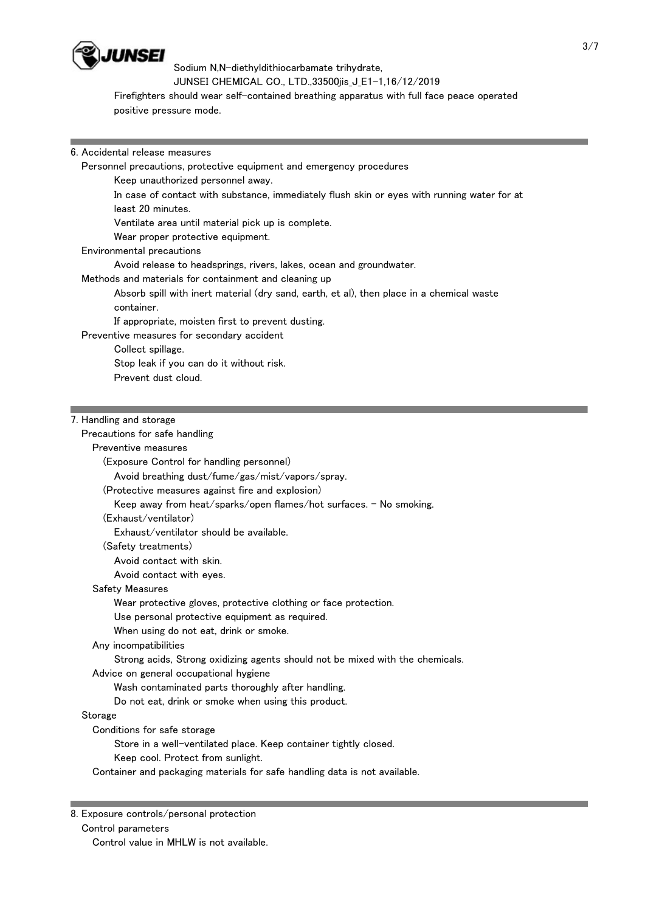

 Firefighters should wear self-contained breathing apparatus with full face peace operated positive pressure mode.

## 6. Accidental release measures

Personnel precautions, protective equipment and emergency procedures

Keep unauthorized personnel away.

 In case of contact with substance, immediately flush skin or eyes with running water for at least 20 minutes.

Ventilate area until material pick up is complete.

Wear proper protective equipment.

### Environmental precautions

Avoid release to headsprings, rivers, lakes, ocean and groundwater.

Methods and materials for containment and cleaning up

 Absorb spill with inert material (dry sand, earth, et al), then place in a chemical waste container.

If appropriate, moisten first to prevent dusting.

Preventive measures for secondary accident

Collect spillage.

Stop leak if you can do it without risk.

Prevent dust cloud.

## 7. Handling and storage

Precautions for safe handling

# Preventive measures

(Exposure Control for handling personnel)

Avoid breathing dust/fume/gas/mist/vapors/spray.

(Protective measures against fire and explosion)

Keep away from heat/sparks/open flames/hot surfaces. - No smoking.

#### (Exhaust/ventilator)

Exhaust/ventilator should be available.

(Safety treatments)

Avoid contact with skin.

Avoid contact with eyes.

## Safety Measures

Wear protective gloves, protective clothing or face protection.

Use personal protective equipment as required.

When using do not eat, drink or smoke.

# Any incompatibilities

Strong acids, Strong oxidizing agents should not be mixed with the chemicals.

Advice on general occupational hygiene

Wash contaminated parts thoroughly after handling.

Do not eat, drink or smoke when using this product.

# Storage

Conditions for safe storage

Store in a well-ventilated place. Keep container tightly closed.

Keep cool. Protect from sunlight.

Container and packaging materials for safe handling data is not available.

#### 8. Exposure controls/personal protection

Control parameters

Control value in MHLW is not available.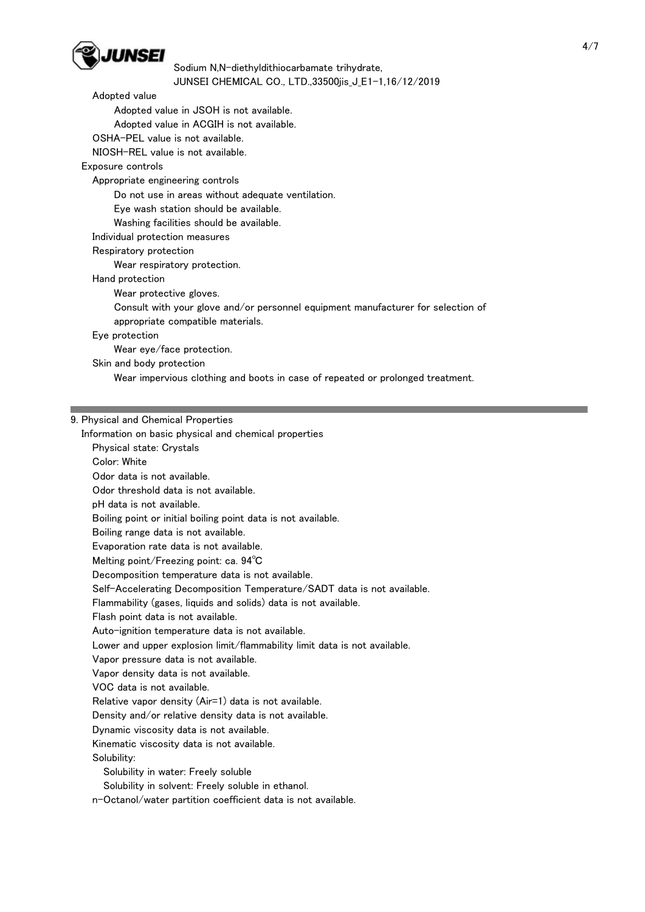

## Adopted value

Adopted value in JSOH is not available.

Adopted value in ACGIH is not available.

OSHA-PEL value is not available.

NIOSH-REL value is not available.

# Exposure controls

Appropriate engineering controls

Do not use in areas without adequate ventilation.

Eye wash station should be available.

Washing facilities should be available.

Individual protection measures

# Respiratory protection

Wear respiratory protection.

Hand protection

Wear protective gloves.

 Consult with your glove and/or personnel equipment manufacturer for selection of appropriate compatible materials.

Eye protection

Wear eye/face protection.

Skin and body protection

Wear impervious clothing and boots in case of repeated or prolonged treatment.

# 9. Physical and Chemical Properties

Information on basic physical and chemical properties

Physical state: Crystals

Color: White

Odor data is not available.

Odor threshold data is not available.

pH data is not available.

Boiling point or initial boiling point data is not available.

Boiling range data is not available.

Evaporation rate data is not available.

Melting point/Freezing point: ca. 94℃

Decomposition temperature data is not available.

Self-Accelerating Decomposition Temperature/SADT data is not available.

Flammability (gases, liquids and solids) data is not available.

Flash point data is not available.

Auto-ignition temperature data is not available.

Lower and upper explosion limit/flammability limit data is not available.

Vapor pressure data is not available.

Vapor density data is not available.

VOC data is not available.

Relative vapor density (Air=1) data is not available.

Density and/or relative density data is not available.

Dynamic viscosity data is not available.

Kinematic viscosity data is not available.

Solubility:

Solubility in water: Freely soluble

Solubility in solvent: Freely soluble in ethanol.

n-Octanol/water partition coefficient data is not available.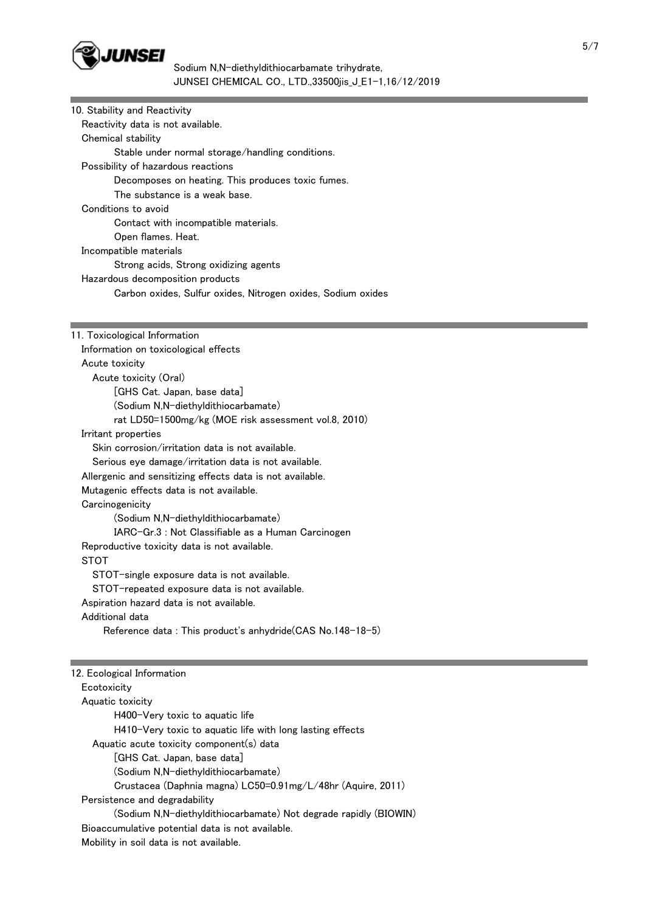

| 10. Stability and Reactivity                                 |
|--------------------------------------------------------------|
| Reactivity data is not available.                            |
| Chemical stability                                           |
| Stable under normal storage/handling conditions.             |
| Possibility of hazardous reactions                           |
| Decomposes on heating. This produces toxic fumes.            |
| The substance is a weak base.                                |
| Conditions to avoid                                          |
| Contact with incompatible materials.                         |
| Open flames. Heat.                                           |
| Incompatible materials                                       |
| Strong acids, Strong oxidizing agents                        |
| Hazardous decomposition products                             |
| Carbon oxides, Sulfur oxides, Nitrogen oxides, Sodium oxides |
|                                                              |
|                                                              |
| 11. Toxicological Information                                |
| Information on toxicological effects                         |
| Acute toxicity                                               |
| Acute toxicity (Oral)                                        |
| [GHS Cat. Japan, base data]                                  |
| (Sodium N,N-diethyldithiocarbamate)                          |
| rat LD50=1500mg/kg (MOE risk assessment vol.8, 2010)         |
| Irritant properties                                          |
| Skin corrosion/irritation data is not available.             |
| Serious eye damage/irritation data is not available.         |
| Allergenic and sensitizing effects data is not available.    |
| Mutagenic effects data is not available.                     |
| Carcinogenicity                                              |
| (Sodium N,N-diethyldithiocarbamate)                          |
| IARC-Gr.3 : Not Classifiable as a Human Carcinogen           |
| Reproductive toxicity data is not available.                 |
| <b>STOT</b>                                                  |
| STOT-single exposure data is not available.                  |
| STOT-repeated exposure data is not available.                |
| Aspiration hazard data is not available.                     |
| Additional data                                              |
| Reference data: This product's anhydride(CAS No.148-18-5)    |
|                                                              |
| 12. Ecological Information                                   |
| Ecotoxicity                                                  |
| Aquatic toxicity                                             |
| H400-Very toxic to aquatic life                              |
| H410-Very toxic to aquatic life with long lasting effects    |
| Aquatic acute toxicity component(s) data                     |
| [GHS Cat. Japan, base data]                                  |
| (Sodium N,N-diethyldithiocarbamate)                          |
| Crustacea (Daphnia magna) LC50=0.91mg/L/48hr (Aquire, 2011)  |
| Persistence and degradability                                |
|                                                              |

 (Sodium N,N-diethyldithiocarbamate) Not degrade rapidly (BIOWIN) Bioaccumulative potential data is not available. Mobility in soil data is not available.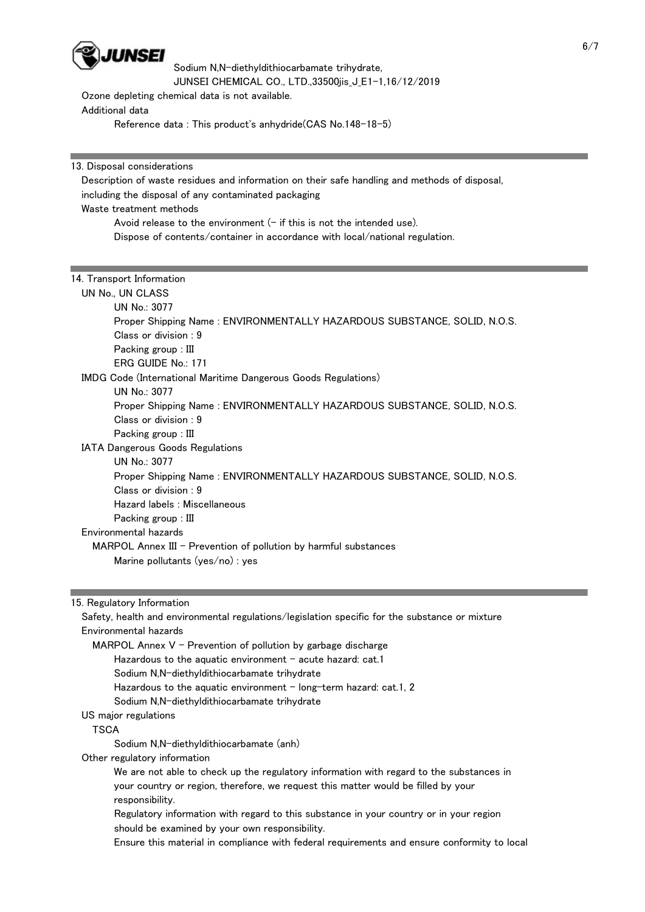

Ozone depleting chemical data is not available.

Additional data

Reference data : This product's anhydride(CAS No.148-18-5)

13. Disposal considerations

 Description of waste residues and information on their safe handling and methods of disposal, including the disposal of any contaminated packaging Waste treatment methods Avoid release to the environment  $(-$  if this is not the intended use).

Dispose of contents/container in accordance with local/national regulation.

# 14. Transport Information

 UN No., UN CLASS UN No.: 3077 Proper Shipping Name : ENVIRONMENTALLY HAZARDOUS SUBSTANCE, SOLID, N.O.S. Class or division : 9 Packing group : III ERG GUIDE No.: 171 IMDG Code (International Maritime Dangerous Goods Regulations) UN No.: 3077 Proper Shipping Name : ENVIRONMENTALLY HAZARDOUS SUBSTANCE, SOLID, N.O.S. Class or division : 9 Packing group : III IATA Dangerous Goods Regulations UN No.: 3077 Proper Shipping Name : ENVIRONMENTALLY HAZARDOUS SUBSTANCE, SOLID, N.O.S. Class or division : 9 Hazard labels : Miscellaneous Packing group : III Environmental hazards MARPOL Annex III - Prevention of pollution by harmful substances Marine pollutants (yes/no) : yes

15. Regulatory Information

 Safety, health and environmental regulations/legislation specific for the substance or mixture Environmental hazards MARPOL Annex  $V$  - Prevention of pollution by garbage discharge Hazardous to the aquatic environment  $-$  acute hazard: cat.1 Sodium N,N-diethyldithiocarbamate trihydrate Hazardous to the aquatic environment  $-$  long-term hazard: cat.1, 2 Sodium N,N-diethyldithiocarbamate trihydrate US major regulations **TSCA**  Sodium N,N-diethyldithiocarbamate (anh) Other regulatory information We are not able to check up the regulatory information with regard to the substances in your country or region, therefore, we request this matter would be filled by your responsibility. Regulatory information with regard to this substance in your country or in your region should be examined by your own responsibility.

Ensure this material in compliance with federal requirements and ensure conformity to local